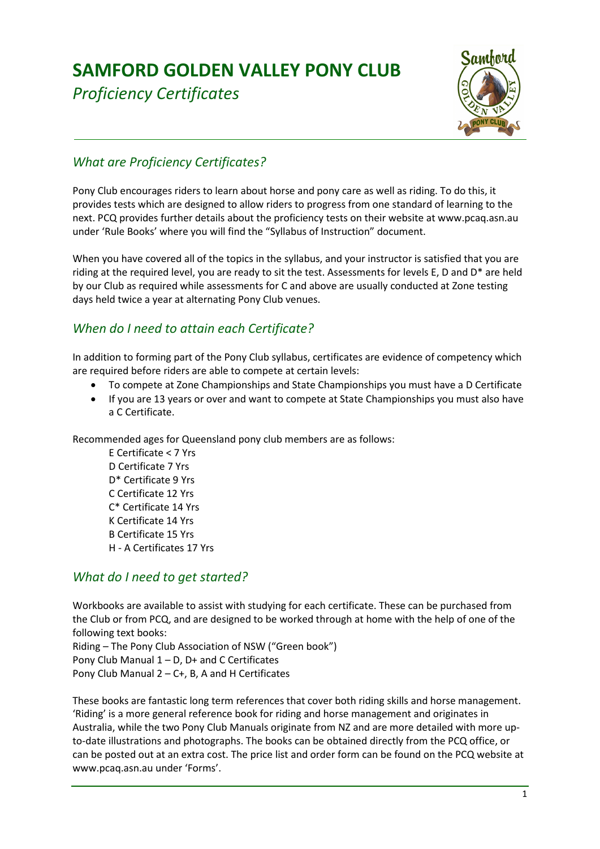# **SAMFORD GOLDEN VALLEY PONY CLUB**

*Proficiency Certificates* 



# *What are Proficiency Certificates?*

Pony Club encourages riders to learn about horse and pony care as well as riding. To do this, it provides tests which are designed to allow riders to progress from one standard of learning to the next. PCQ provides further details about the proficiency tests on their website at www.pcaq.asn.au under 'Rule Books' where you will find the "Syllabus of Instruction" document.

When you have covered all of the topics in the syllabus, and your instructor is satisfied that you are riding at the required level, you are ready to sit the test. Assessments for levels E, D and D\* are held by our Club as required while assessments for C and above are usually conducted at Zone testing days held twice a year at alternating Pony Club venues.

## *When do I need to attain each Certificate?*

In addition to forming part of the Pony Club syllabus, certificates are evidence of competency which are required before riders are able to compete at certain levels:

- To compete at Zone Championships and State Championships you must have a D Certificate
- If you are 13 years or over and want to compete at State Championships you must also have a C Certificate.

Recommended ages for Queensland pony club members are as follows:

 E Certificate < 7 Yrs D Certificate 7 Yrs D\* Certificate 9 Yrs C Certificate 12 Yrs C\* Certificate 14 Yrs K Certificate 14 Yrs B Certificate 15 Yrs H - A Certificates 17 Yrs

### *What do I need to get started?*

Workbooks are available to assist with studying for each certificate. These can be purchased from the Club or from PCQ, and are designed to be worked through at home with the help of one of the following text books:

Riding – The Pony Club Association of NSW ("Green book") Pony Club Manual 1 – D, D+ and C Certificates Pony Club Manual  $2 - C +$ , B, A and H Certificates

These books are fantastic long term references that cover both riding skills and horse management. 'Riding' is a more general reference book for riding and horse management and originates in Australia, while the two Pony Club Manuals originate from NZ and are more detailed with more upto-date illustrations and photographs. The books can be obtained directly from the PCQ office, or can be posted out at an extra cost. The price list and order form can be found on the PCQ website at www.pcaq.asn.au under 'Forms'.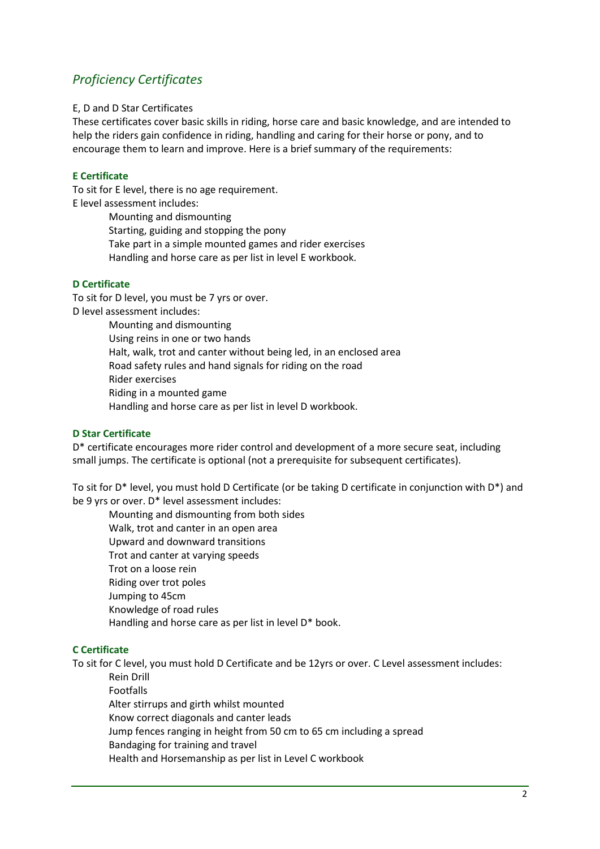### *Proficiency Certificates*

#### E, D and D Star Certificates

These certificates cover basic skills in riding, horse care and basic knowledge, and are intended to help the riders gain confidence in riding, handling and caring for their horse or pony, and to encourage them to learn and improve. Here is a brief summary of the requirements:

#### **E Certificate**

To sit for E level, there is no age requirement. E level assessment includes:

> Mounting and dismounting Starting, guiding and stopping the pony Take part in a simple mounted games and rider exercises Handling and horse care as per list in level E workbook.

#### **D Certificate**

To sit for D level, you must be 7 yrs or over. D level assessment includes: Mounting and dismounting Using reins in one or two hands Halt, walk, trot and canter without being led, in an enclosed area Road safety rules and hand signals for riding on the road Rider exercises Riding in a mounted game Handling and horse care as per list in level D workbook.

#### **D Star Certificate**

D\* certificate encourages more rider control and development of a more secure seat, including small jumps. The certificate is optional (not a prerequisite for subsequent certificates).

To sit for D\* level, you must hold D Certificate (or be taking D certificate in conjunction with D\*) and be 9 yrs or over. D\* level assessment includes:

 Mounting and dismounting from both sides Walk, trot and canter in an open area Upward and downward transitions Trot and canter at varying speeds Trot on a loose rein Riding over trot poles Jumping to 45cm Knowledge of road rules Handling and horse care as per list in level D\* book.

#### **C Certificate**

To sit for C level, you must hold D Certificate and be 12yrs or over. C Level assessment includes:

 Rein Drill Footfalls Alter stirrups and girth whilst mounted Know correct diagonals and canter leads Jump fences ranging in height from 50 cm to 65 cm including a spread Bandaging for training and travel Health and Horsemanship as per list in Level C workbook